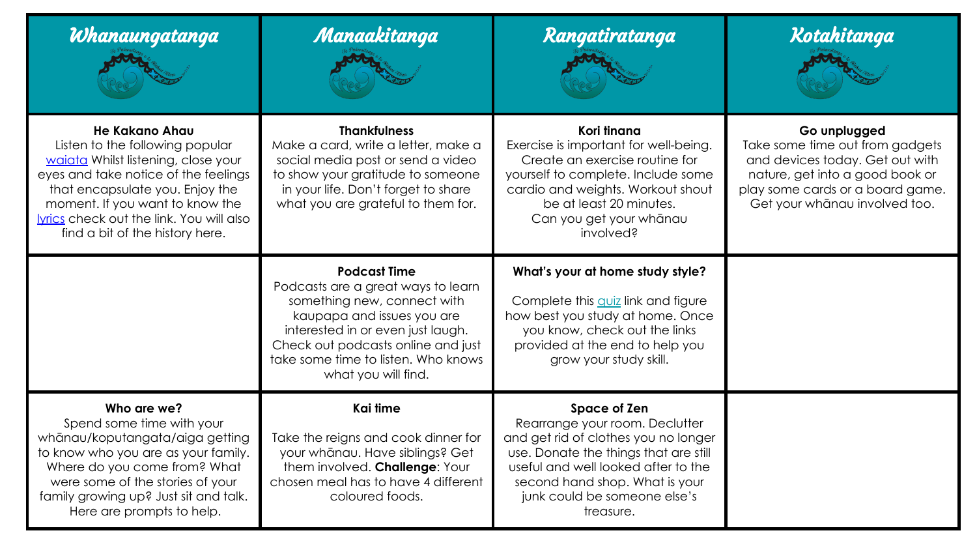| Whanaungatanga                                                                                                                                                                                                                                                                                     | Manaakitanga                                                                                                                                                                                                                                                    | Rangatiratanga                                                                                                                                                                                                                                        | Kotahitanga                                                                                                                                                                                |
|----------------------------------------------------------------------------------------------------------------------------------------------------------------------------------------------------------------------------------------------------------------------------------------------------|-----------------------------------------------------------------------------------------------------------------------------------------------------------------------------------------------------------------------------------------------------------------|-------------------------------------------------------------------------------------------------------------------------------------------------------------------------------------------------------------------------------------------------------|--------------------------------------------------------------------------------------------------------------------------------------------------------------------------------------------|
| <b>He Kakano Ahau</b><br>Listen to the following popular<br>waiata Whilst listening, close your<br>eyes and take notice of the feelings<br>that encapsulate you. Enjoy the<br>moment. If you want to know the<br><b>vrics</b> check out the link. You will also<br>find a bit of the history here. | <b>Thankfulness</b><br>Make a card, write a letter, make a<br>social media post or send a video<br>to show your gratitude to someone<br>in your life. Don't forget to share<br>what you are grateful to them for.                                               | Kori tinana<br>Exercise is important for well-being.<br>Create an exercise routine for<br>yourself to complete. Include some<br>cardio and weights. Workout shout<br>be at least 20 minutes.<br>Can you get your whānau<br>involved?                  | Go unplugged<br>Take some time out from gadgets<br>and devices today. Get out with<br>nature, get into a good book or<br>play some cards or a board game.<br>Get your whanau involved too. |
|                                                                                                                                                                                                                                                                                                    | <b>Podcast Time</b><br>Podcasts are a great ways to learn<br>something new, connect with<br>kaupapa and issues you are<br>interested in or even just laugh.<br>Check out podcasts online and just<br>take some time to listen. Who knows<br>what you will find. | What's your at home study style?<br>Complete this <i>quiz</i> link and figure<br>how best you study at home. Once<br>you know, check out the links<br>provided at the end to help you<br>grow your study skill.                                       |                                                                                                                                                                                            |
| Who are we?<br>Spend some time with your<br>whānau/koputangata/aiga getting<br>to know who you are as your family.<br>Where do you come from? What<br>were some of the stories of your<br>family growing up? Just sit and talk.<br>Here are prompts to help.                                       | Kai time<br>Take the reigns and cook dinner for<br>your whānau. Have siblings? Get<br>them involved. Challenge: Your<br>chosen meal has to have 4 different<br>coloured foods.                                                                                  | Space of Zen<br>Rearrange your room. Declutter<br>and get rid of clothes you no longer<br>use. Donate the things that are still<br>useful and well looked after to the<br>second hand shop. What is your<br>junk could be someone else's<br>treasure. |                                                                                                                                                                                            |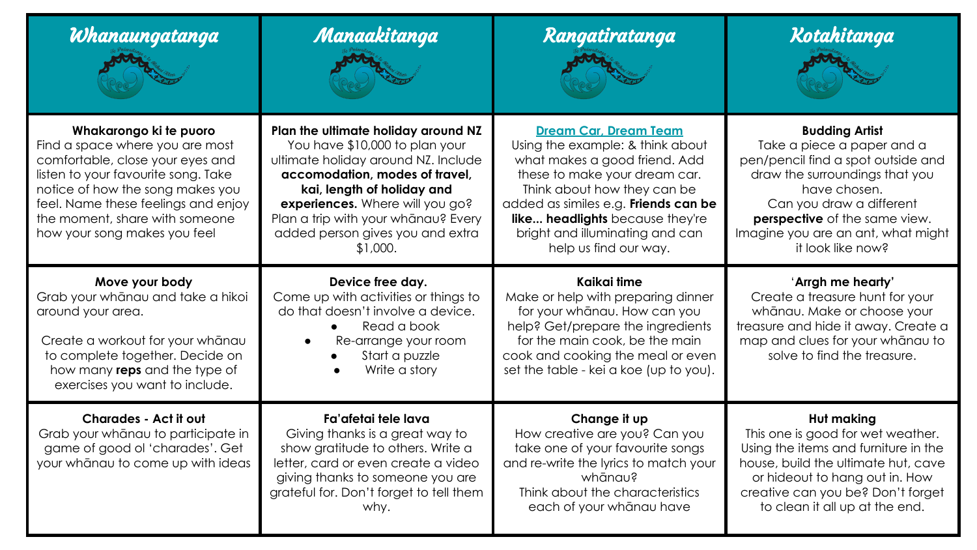| Whanaungatanga                                                                                                                                                                                                                                                                    | Manaakitanga                                                                                                                                                                                                                                                                                           | Rangatiratanga                                                                                                                                                                                                                                                                                           | Kotahitanga                                                                                                                                                                                                                                                         |
|-----------------------------------------------------------------------------------------------------------------------------------------------------------------------------------------------------------------------------------------------------------------------------------|--------------------------------------------------------------------------------------------------------------------------------------------------------------------------------------------------------------------------------------------------------------------------------------------------------|----------------------------------------------------------------------------------------------------------------------------------------------------------------------------------------------------------------------------------------------------------------------------------------------------------|---------------------------------------------------------------------------------------------------------------------------------------------------------------------------------------------------------------------------------------------------------------------|
| Whakarongo ki te puoro<br>Find a space where you are most<br>comfortable, close your eyes and<br>listen to your favourite song. Take<br>notice of how the song makes you<br>feel. Name these feelings and enjoy<br>the moment, share with someone<br>how your song makes you feel | Plan the ultimate holiday around NZ<br>You have \$10,000 to plan your<br>ultimate holiday around NZ. Include<br>accomodation, modes of travel,<br>kai, length of holiday and<br>experiences. Where will you go?<br>Plan a trip with your whanau? Every<br>added person gives you and extra<br>\$1,000. | <b>Dream Car. Dream Team</b><br>Using the example: & think about<br>what makes a good friend. Add<br>these to make your dream car.<br>Think about how they can be<br>added as similes e.g. Friends can be<br>like headlights because they're<br>bright and illuminating and can<br>help us find our way. | <b>Budding Artist</b><br>Take a piece a paper and a<br>pen/pencil find a spot outside and<br>draw the surroundings that you<br>have chosen.<br>Can you draw a different<br>perspective of the same view.<br>Imagine you are an ant, what might<br>it look like now? |
| Move your body<br>Grab your whanau and take a hikoi<br>around your area.<br>Create a workout for your whanau<br>to complete together. Decide on<br>how many reps and the type of<br>exercises you want to include.                                                                | Device free day.<br>Come up with activities or things to<br>do that doesn't involve a device.<br>Read a book<br>Re-arrange your room<br>$\bullet$<br>Start a puzzle<br>Write a story                                                                                                                   | Kaikai time<br>Make or help with preparing dinner<br>for your whanau. How can you<br>help? Get/prepare the ingredients<br>for the main cook, be the main<br>cook and cooking the meal or even<br>set the table - kei a koe (up to you).                                                                  | 'Arrgh me hearty'<br>Create a treasure hunt for your<br>whānau. Make or choose your<br>treasure and hide it away. Create a<br>map and clues for your whanau to<br>solve to find the treasure.                                                                       |
| Charades - Act it out<br>Grab your whanau to participate in<br>game of good ol 'charades'. Get<br>your whanau to come up with ideas                                                                                                                                               | Fa'afetai tele lava<br>Giving thanks is a great way to<br>show gratitude to others. Write a<br>letter, card or even create a video<br>giving thanks to someone you are<br>grateful for. Don't forget to tell them<br>why.                                                                              | Change it up<br>How creative are you? Can you<br>take one of your favourite songs<br>and re-write the lyrics to match your<br>whānau?<br>Think about the characteristics<br>each of your whanau have                                                                                                     | <b>Hut making</b><br>This one is good for wet weather.<br>Using the items and furniture in the<br>house, build the ultimate hut, cave<br>or hideout to hang out in. How<br>creative can you be? Don't forget<br>to clean it all up at the end.                      |